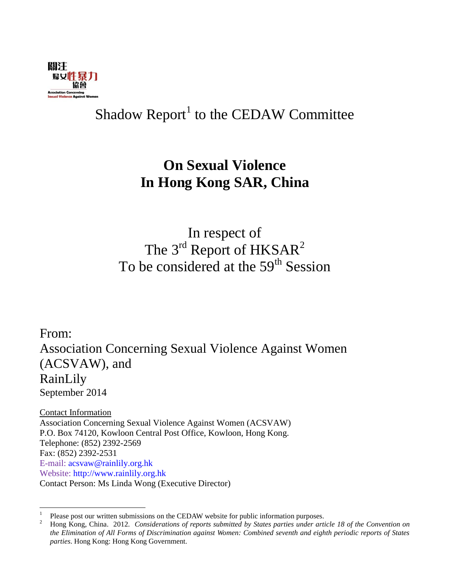

## Shadow Report<sup>1</sup> to the CEDAW Committee

## **On Sexual Violence In Hong Kong SAR, China**

In respect of The 3<sup>rd</sup> Report of HKSAR<sup>2</sup> To be considered at the 59<sup>th</sup> Session

From: Association Concerning Sexual Violence Against Women (ACSVAW), and RainLily September 2014

Contact Information Association Concerning Sexual Violence Against Women (ACSVAW) P.O. Box 74120, Kowloon Central Post Office, Kowloon, Hong Kong. Telephone: (852) 2392-2569 Fax: (852) 2392-2531 E-mail: [acsvaw@rainlily.org.hk](mailto:acsvaw@rainlily.org.hk) Website: [http://www.rainlily.org.hk](http://www.rainlily.org.hk/) Contact Person: Ms Linda Wong (Executive Director)

 $\frac{1}{1}$ Please post our written submissions on the CEDAW website for public information purposes.

<sup>2</sup> Hong Kong, China. 2012. *Considerations of reports submitted by States parties under article 18 of the Convention on the Elimination of All Forms of Discrimination against Women: Combined seventh and eighth periodic reports of States parties*. Hong Kong: Hong Kong Government.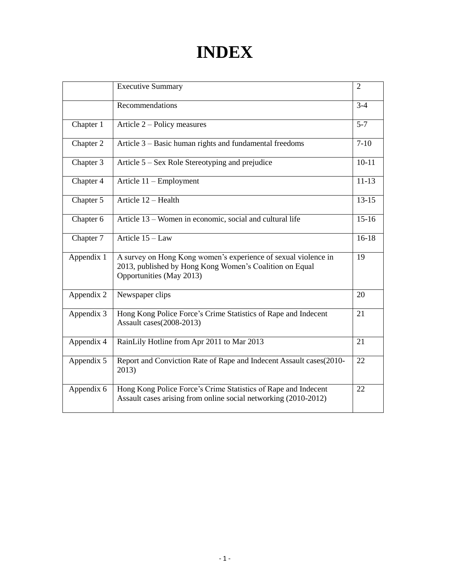# **INDEX**

|            | <b>Executive Summary</b>                                                                                                                              | $\overline{2}$ |  |  |
|------------|-------------------------------------------------------------------------------------------------------------------------------------------------------|----------------|--|--|
|            | Recommendations                                                                                                                                       | $3 - 4$        |  |  |
| Chapter 1  | Article 2 – Policy measures                                                                                                                           |                |  |  |
| Chapter 2  | Article 3 – Basic human rights and fundamental freedoms                                                                                               |                |  |  |
| Chapter 3  | Article 5 – Sex Role Stereotyping and prejudice                                                                                                       |                |  |  |
| Chapter 4  | Article 11 - Employment                                                                                                                               | $11 - 13$      |  |  |
| Chapter 5  | Article 12 - Health                                                                                                                                   | $13 - 15$      |  |  |
| Chapter 6  | Article 13 – Women in economic, social and cultural life                                                                                              | $15-16$        |  |  |
| Chapter 7  | Article $15 - Law$                                                                                                                                    | $16-18$        |  |  |
| Appendix 1 | A survey on Hong Kong women's experience of sexual violence in<br>2013, published by Hong Kong Women's Coalition on Equal<br>Opportunities (May 2013) | 19             |  |  |
| Appendix 2 | Newspaper clips                                                                                                                                       | 20             |  |  |
| Appendix 3 | Hong Kong Police Force's Crime Statistics of Rape and Indecent<br>Assault cases(2008-2013)                                                            | 21             |  |  |
| Appendix 4 | RainLily Hotline from Apr 2011 to Mar 2013                                                                                                            | 21             |  |  |
| Appendix 5 | Report and Conviction Rate of Rape and Indecent Assault cases(2010-<br>2013)                                                                          | 22             |  |  |
| Appendix 6 | Hong Kong Police Force's Crime Statistics of Rape and Indecent<br>Assault cases arising from online social networking (2010-2012)                     | 22             |  |  |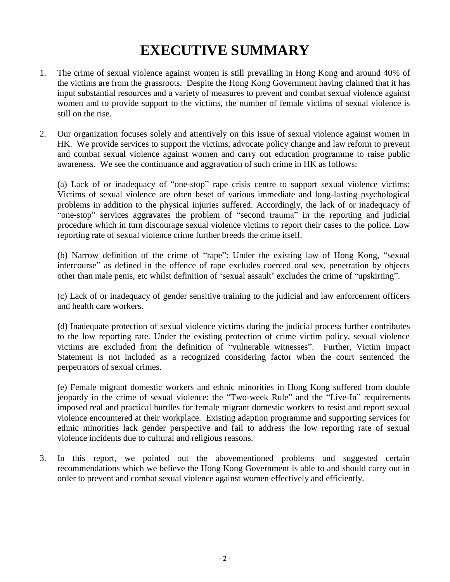## **EXECUTIVE SUMMARY**

- 1. The crime of sexual violence against women is still prevailing in Hong Kong and around 40% of the victims are from the grassroots. Despite the Hong Kong Government having claimed that it has input substantial resources and a variety of measures to prevent and combat sexual violence against women and to provide support to the victims, the number of female victims of sexual violence is still on the rise.
- 2. Our organization focuses solely and attentively on this issue of sexual violence against women in HK. We provide services to support the victims, advocate policy change and law reform to prevent and combat sexual violence against women and carry out education programme to raise public awareness. We see the continuance and aggravation of such crime in HK as follows:

(a) Lack of or inadequacy of "one-stop" rape crisis centre to support sexual violence victims: Victims of sexual violence are often beset of various immediate and long-lasting psychological problems in addition to the physical injuries suffered. Accordingly, the lack of or inadequacy of "one-stop" services aggravates the problem of "second trauma" in the reporting and judicial procedure which in turn discourage sexual violence victims to report their cases to the police. Low reporting rate of sexual violence crime further breeds the crime itself.

(b) Narrow definition of the crime of "rape": Under the existing law of Hong Kong, "sexual intercourse" as defined in the offence of rape excludes coerced oral sex, penetration by objects other than male penis, etc whilst definition of 'sexual assault' excludes the crime of "upskirting".

(c) Lack of or inadequacy of gender sensitive training to the judicial and law enforcement officers and health care workers.

(d) Inadequate protection of sexual violence victims during the judicial process further contributes to the low reporting rate. Under the existing protection of crime victim policy, sexual violence victims are excluded from the definition of "vulnerable witnesses". Further, Victim Impact Statement is not included as a recognized considering factor when the court sentenced the perpetrators of sexual crimes.

(e) Female migrant domestic workers and ethnic minorities in Hong Kong suffered from double jeopardy in the crime of sexual violence: the "Two-week Rule" and the "Live-In" requirements imposed real and practical hurdles for female migrant domestic workers to resist and report sexual violence encountered at their workplace. Existing adaption programme and supporting services for ethnic minorities lack gender perspective and fail to address the low reporting rate of sexual violence incidents due to cultural and religious reasons.

3. In this report, we pointed out the abovementioned problems and suggested certain recommendations which we believe the Hong Kong Government is able to and should carry out in order to prevent and combat sexual violence against women effectively and efficiently.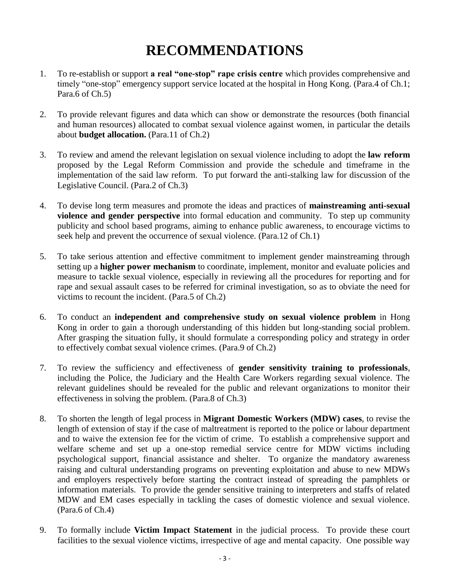## **RECOMMENDATIONS**

- 1. To re-establish or support **a real "one-stop" rape crisis centre** which provides comprehensive and timely "one-stop" emergency support service located at the hospital in Hong Kong. (Para.4 of Ch.1; Para.6 of Ch.5)
- 2. To provide relevant figures and data which can show or demonstrate the resources (both financial and human resources) allocated to combat sexual violence against women, in particular the details about **budget allocation.** (Para.11 of Ch.2)
- 3. To review and amend the relevant legislation on sexual violence including to adopt the **law reform** proposed by the Legal Reform Commission and provide the schedule and timeframe in the implementation of the said law reform. To put forward the anti-stalking law for discussion of the Legislative Council. (Para.2 of Ch.3)
- 4. To devise long term measures and promote the ideas and practices of **mainstreaming anti-sexual violence and gender perspective** into formal education and community. To step up community publicity and school based programs, aiming to enhance public awareness, to encourage victims to seek help and prevent the occurrence of sexual violence. (Para.12 of Ch.1)
- 5. To take serious attention and effective commitment to implement gender mainstreaming through setting up a **higher power mechanism** to coordinate, implement, monitor and evaluate policies and measure to tackle sexual violence, especially in reviewing all the procedures for reporting and for rape and sexual assault cases to be referred for criminal investigation, so as to obviate the need for victims to recount the incident. (Para.5 of Ch.2)
- 6. To conduct an **independent and comprehensive study on sexual violence problem** in Hong Kong in order to gain a thorough understanding of this hidden but long-standing social problem. After grasping the situation fully, it should formulate a corresponding policy and strategy in order to effectively combat sexual violence crimes. (Para.9 of Ch.2)
- 7. To review the sufficiency and effectiveness of **gender sensitivity training to professionals**, including the Police, the Judiciary and the Health Care Workers regarding sexual violence. The relevant guidelines should be revealed for the public and relevant organizations to monitor their effectiveness in solving the problem. (Para.8 of Ch.3)
- 8. To shorten the length of legal process in **Migrant Domestic Workers (MDW) cases**, to revise the length of extension of stay if the case of maltreatment is reported to the police or labour department and to waive the extension fee for the victim of crime. To establish a comprehensive support and welfare scheme and set up a one-stop remedial service centre for MDW victims including psychological support, financial assistance and shelter. To organize the mandatory awareness raising and cultural understanding programs on preventing exploitation and abuse to new MDWs and employers respectively before starting the contract instead of spreading the pamphlets or information materials. To provide the gender sensitive training to interpreters and staffs of related MDW and EM cases especially in tackling the cases of domestic violence and sexual violence. (Para.6 of Ch.4)
- 9. To formally include **Victim Impact Statement** in the judicial process. To provide these court facilities to the sexual violence victims, irrespective of age and mental capacity. One possible way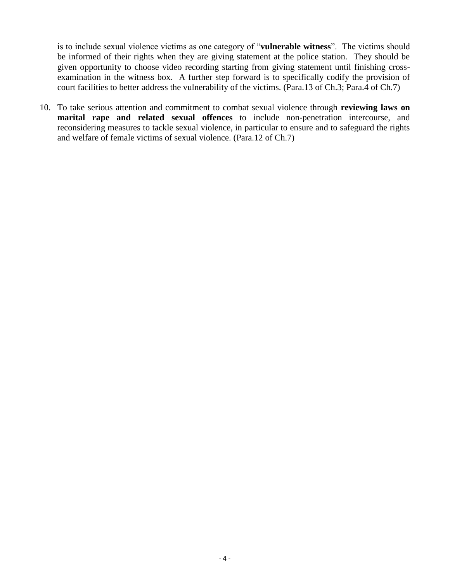is to include sexual violence victims as one category of "**vulnerable witness**". The victims should be informed of their rights when they are giving statement at the police station. They should be given opportunity to choose video recording starting from giving statement until finishing crossexamination in the witness box. A further step forward is to specifically codify the provision of court facilities to better address the vulnerability of the victims. (Para.13 of Ch.3; Para.4 of Ch.7)

10. To take serious attention and commitment to combat sexual violence through **reviewing laws on marital rape and related sexual offences** to include non-penetration intercourse, and reconsidering measures to tackle sexual violence, in particular to ensure and to safeguard the rights and welfare of female victims of sexual violence. (Para.12 of Ch.7)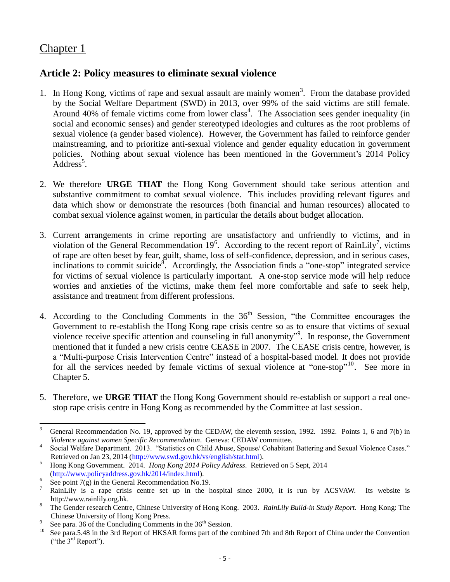## Chapter 1

### **Article 2: Policy measures to eliminate sexual violence**

- 1. In Hong Kong, victims of rape and sexual assault are mainly women<sup>3</sup>. From the database provided by the Social Welfare Department (SWD) in 2013, over 99% of the said victims are still female. Around 40% of female victims come from lower class<sup>4</sup>. The Association sees gender inequality (in social and economic senses) and gender stereotyped ideologies and cultures as the root problems of sexual violence (a gender based violence). However, the Government has failed to reinforce gender mainstreaming, and to prioritize anti-sexual violence and gender equality education in government policies. Nothing about sexual violence has been mentioned in the Government's 2014 Policy  $\overline{\text{Address}}^5$ .
- 2. We therefore **URGE THAT** the Hong Kong Government should take serious attention and substantive commitment to combat sexual violence. This includes providing relevant figures and data which show or demonstrate the resources (both financial and human resources) allocated to combat sexual violence against women, in particular the details about budget allocation.
- 3. Current arrangements in crime reporting are unsatisfactory and unfriendly to victims, and in violation of the General Recommendation  $19^6$ . According to the recent report of RainLily<sup>7</sup>, victims of rape are often beset by fear, guilt, shame, loss of self-confidence, depression, and in serious cases, inclinations to commit suicide<sup>8</sup>. Accordingly, the Association finds a "one-stop" integrated service for victims of sexual violence is particularly important. A one-stop service mode will help reduce worries and anxieties of the victims, make them feel more comfortable and safe to seek help, assistance and treatment from different professions.
- 4. According to the Concluding Comments in the  $36<sup>th</sup>$  Session, "the Committee encourages the Government to re-establish the Hong Kong rape crisis centre so as to ensure that victims of sexual violence receive specific attention and counseling in full anonymity"<sup>9</sup>. In response, the Government mentioned that it funded a new crisis centre CEASE in 2007. The CEASE crisis centre, however, is a "Multi-purpose Crisis Intervention Centre" instead of a hospital-based model. It does not provide for all the services needed by female victims of sexual violence at "one-stop"<sup>10</sup>. See more in Chapter 5.
- 5. Therefore, we **URGE THAT** the Hong Kong Government should re-establish or support a real onestop rape crisis centre in Hong Kong as recommended by the Committee at last session.

 $\overline{3}$ <sup>3</sup> General Recommendation No. 19, approved by the CEDAW, the eleventh session, 1992. 1992. Points 1, 6 and 7(b) in *Violence against women Specific Recommendation*. Geneva: CEDAW committee.

<sup>4</sup> Social Welfare Department. 2013. "Statistics on Child Abuse, Spouse/ Cohabitant Battering and Sexual Violence Cases." Retrieved on Jan 23, 2014 [\(http://www.swd.gov.hk/vs/english/stat.html\)](http://www.swd.gov.hk/vs/english/stat.html).

<sup>5</sup> Hong Kong Government. 2014. *Hong Kong 2014 Policy Address*. Retrieved on 5 Sept, 2014 [\(http://www.policyaddress.gov.hk/2014/index.html\)](http://www.policyaddress.gov.hk/2014/index.html). 6

See point  $7(g)$  in the General Recommendation No.19.

<sup>7</sup> RainLily is a rape crisis centre set up in the hospital since 2000, it is run by ACSVAW. Its website is http://www.rainlily.org.hk.

<sup>8</sup> The Gender research Centre, Chinese University of Hong Kong. 2003. *RainLily Build-in Study Report*. Hong Kong: The Chinese University of Hong Kong Press.

<sup>9</sup> See para. 36 of the Concluding Comments in the 36<sup>th</sup> Session.

<sup>&</sup>lt;sup>10</sup> See para.5.48 in the 3rd Report of HKSAR forms part of the combined 7th and 8th Report of China under the Convention ("the 3rd Report").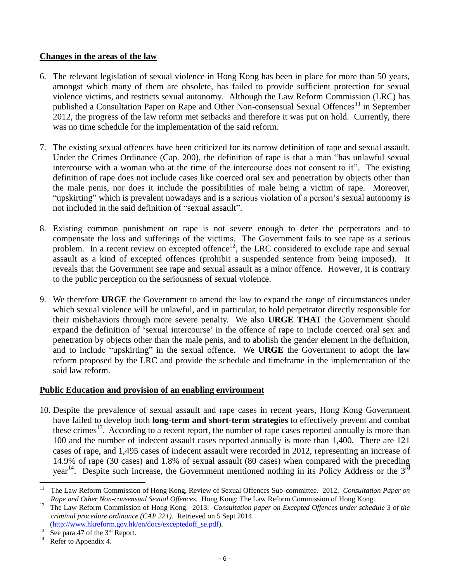#### **Changes in the areas of the law**

- 6. The relevant legislation of sexual violence in Hong Kong has been in place for more than 50 years, amongst which many of them are obsolete, has failed to provide sufficient protection for sexual violence victims, and restricts sexual autonomy. Although the Law Reform Commission (LRC) has published a Consultation Paper on Rape and Other Non-consensual Sexual Offences<sup>11</sup> in September 2012, the progress of the law reform met setbacks and therefore it was put on hold. Currently, there was no time schedule for the implementation of the said reform.
- 7. The existing sexual offences have been criticized for its narrow definition of rape and sexual assault. Under the Crimes Ordinance (Cap. 200), the definition of rape is that a man "has unlawful sexual intercourse with a woman who at the time of the intercourse does not consent to it". The existing definition of rape does not include cases like coerced oral sex and penetration by objects other than the male penis, nor does it include the possibilities of male being a victim of rape. Moreover, "upskirting" which is prevalent nowadays and is a serious violation of a person's sexual autonomy is not included in the said definition of "sexual assault".
- 8. Existing common punishment on rape is not severe enough to deter the perpetrators and to compensate the loss and sufferings of the victims. The Government fails to see rape as a serious problem. In a recent review on excepted offence<sup>12</sup>, the LRC considered to exclude rape and sexual assault as a kind of excepted offences (prohibit a suspended sentence from being imposed). It reveals that the Government see rape and sexual assault as a minor offence. However, it is contrary to the public perception on the seriousness of sexual violence.
- 9. We therefore **URGE** the Government to amend the law to expand the range of circumstances under which sexual violence will be unlawful, and in particular, to hold perpetrator directly responsible for their misbehaviors through more severe penalty. We also **URGE THAT** the Government should expand the definition of 'sexual intercourse' in the offence of rape to include coerced oral sex and penetration by objects other than the male penis, and to abolish the gender element in the definition, and to include "upskirting" in the sexual offence. We **URGE** the Government to adopt the law reform proposed by the LRC and provide the schedule and timeframe in the implementation of the said law reform.

#### **Public Education and provision of an enabling environment**

10. Despite the prevalence of sexual assault and rape cases in recent years, Hong Kong Government have failed to develop both **long-term and short-term strategies** to effectively prevent and combat these crimes<sup>13</sup>. According to a recent report, the number of rape cases reported annually is more than 100 and the number of indecent assault cases reported annually is more than 1,400. There are 121 cases of rape, and 1,495 cases of indecent assault were recorded in 2012, representing an increase of 14.9% of rape (30 cases) and 1.8% of sexual assault (80 cases) when compared with the preceding year<sup>14</sup>. Despite such increase, the Government mentioned nothing in its Policy Address or the  $3^{rd}$ 

 $11$ <sup>11</sup> The Law Reform Commission of Hong Kong, Review of Sexual Offences Sub-committee. 2012. *Consultation Paper on Rape and Other Non-consensual Sexual Offences*. Hong Kong: The Law Reform Commission of Hong Kong.

<sup>&</sup>lt;sup>12</sup> The Law Reform Commission of Hong Kong. 2013. *Consultation paper on Excepted Offences under schedule 3 of the criminal procedure ordinance (CAP 221)*. Retrieved on 5 Sept 2014

[<sup>\(</sup>http://www.hkreform.gov.hk/en/docs/exceptedoff\\_se.pdf\)](http://www.hkreform.gov.hk/en/docs/exceptedoff_se.pdf).

<sup>&</sup>lt;sup>13</sup> See para.47 of the  $3<sup>rd</sup>$  Report.

Refer to Appendix 4.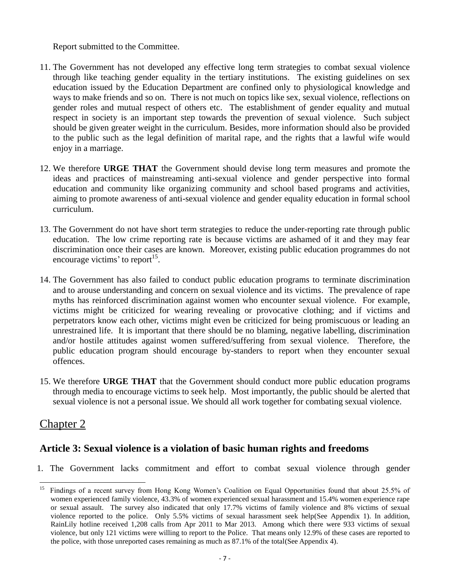Report submitted to the Committee.

- 11. The Government has not developed any effective long term strategies to combat sexual violence through like teaching gender equality in the tertiary institutions. The existing guidelines on sex education issued by the Education Department are confined only to physiological knowledge and ways to make friends and so on. There is not much on topics like sex, sexual violence, reflections on gender roles and mutual respect of others etc. The establishment of gender equality and mutual respect in society is an important step towards the prevention of sexual violence. Such subject should be given greater weight in the curriculum. Besides, more information should also be provided to the public such as the legal definition of marital rape, and the rights that a lawful wife would enjoy in a marriage.
- 12. We therefore **URGE THAT** the Government should devise long term measures and promote the ideas and practices of mainstreaming anti-sexual violence and gender perspective into formal education and community like organizing community and school based programs and activities, aiming to promote awareness of anti-sexual violence and gender equality education in formal school curriculum.
- 13. The Government do not have short term strategies to reduce the under-reporting rate through public education. The low crime reporting rate is because victims are ashamed of it and they may fear discrimination once their cases are known. Moreover, existing public education programmes do not encourage victims' to report<sup>15</sup>.
- 14. The Government has also failed to conduct public education programs to terminate discrimination and to arouse understanding and concern on sexual violence and its victims. The prevalence of rape myths has reinforced discrimination against women who encounter sexual violence. For example, victims might be criticized for wearing revealing or provocative clothing; and if victims and perpetrators know each other, victims might even be criticized for being promiscuous or leading an unrestrained life. It is important that there should be no blaming, negative labelling, discrimination and/or hostile attitudes against women suffered/suffering from sexual violence. Therefore, the public education program should encourage by-standers to report when they encounter sexual offences.
- 15. We therefore **URGE THAT** that the Government should conduct more public education programs through media to encourage victims to seek help. Most importantly, the public should be alerted that sexual violence is not a personal issue. We should all work together for combating sexual violence.

## Chapter 2

## **Article 3: Sexual violence is a violation of basic human rights and freedoms**

1. The Government lacks commitment and effort to combat sexual violence through gender

<sup>15</sup> <sup>15</sup> Findings of a recent survey from Hong Kong Women's Coalition on Equal Opportunities found that about 25.5% of women experienced family violence, 43.3% of women experienced sexual harassment and 15.4% women experience rape or sexual assault. The survey also indicated that only 17.7% victims of family violence and 8% victims of sexual violence reported to the police. Only 5.5% victims of sexual harassment seek help(See Appendix 1). In addition, RainLily hotline received 1,208 calls from Apr 2011 to Mar 2013. Among which there were 933 victims of sexual violence, but only 121 victims were willing to report to the Police. That means only 12.9% of these cases are reported to the police, with those unreported cases remaining as much as 87.1% of the total(See Appendix 4).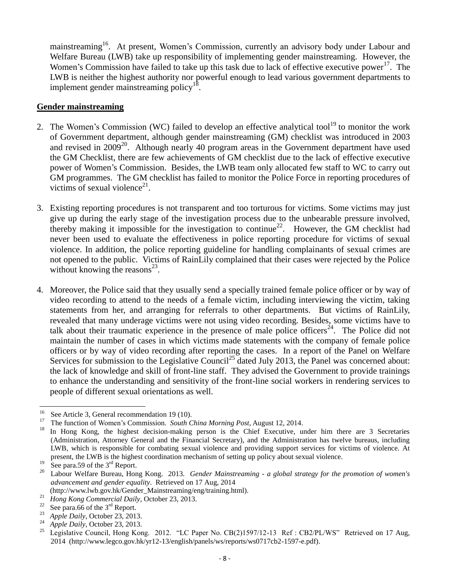mainstreaming<sup>16</sup>. At present, Women's Commission, currently an advisory body under Labour and Welfare Bureau (LWB) take up responsibility of implementing gender mainstreaming. However, the Women's Commission have failed to take up this task due to lack of effective executive power<sup>17</sup>. The LWB is neither the highest authority nor powerful enough to lead various government departments to implement gender mainstreaming policy<sup>18</sup>.

#### **Gender mainstreaming**

- 2. The Women's Commission (WC) failed to develop an effective analytical tool<sup>19</sup> to monitor the work of Government department, although gender mainstreaming (GM) checklist was introduced in 2003 and revised in  $2009^{20}$ . Although nearly 40 program areas in the Government department have used the GM Checklist, there are few achievements of GM checklist due to the lack of effective executive power of Women's Commission. Besides, the LWB team only allocated few staff to WC to carry out GM programmes. The GM checklist has failed to monitor the Police Force in reporting procedures of victims of sexual violence $2<sup>1</sup>$ .
- 3. Existing reporting procedures is not transparent and too torturous for victims. Some victims may just give up during the early stage of the investigation process due to the unbearable pressure involved, thereby making it impossible for the investigation to continue<sup>22</sup>. However, the GM checklist had never been used to evaluate the effectiveness in police reporting procedure for victims of sexual violence. In addition, the police reporting guideline for handling complainants of sexual crimes are not opened to the public. Victims of RainLily complained that their cases were rejected by the Police without knowing the reasons $^{23}$ .
- 4. Moreover, the Police said that they usually send a specially trained female police officer or by way of video recording to attend to the needs of a female victim, including interviewing the victim, taking statements from her, and arranging for referrals to other departments. But victims of RainLily, revealed that many underage victims were not using video recording. Besides, some victims have to talk about their traumatic experience in the presence of male police officers<sup>24</sup>. The Police did not maintain the number of cases in which victims made statements with the company of female police officers or by way of video recording after reporting the cases. In a report of the Panel on Welfare Services for submission to the Legislative Council<sup>25</sup> dated July 2013, the Panel was concerned about: the lack of knowledge and skill of front-line staff. They advised the Government to provide trainings to enhance the understanding and sensitivity of the front-line social workers in rendering services to people of different sexual orientations as well.

<sup>16</sup> <sup>16</sup> See Article 3, General recommendation 19 (10).

<sup>&</sup>lt;sup>17</sup> The function of Women's Commission. *South China Morning Post*, August 12, 2014.

<sup>18</sup> In Hong Kong, the highest decision-making person is the Chief Executive, under him there are 3 Secretaries (Administration, Attorney General and the Financial Secretary), and the Administration has twelve bureaus, including LWB, which is responsible for combating sexual violence and providing support services for victims of violence. At present, the LWB is the highest coordination mechanism of setting up policy about sexual violence.

<sup>&</sup>lt;sup>19</sup> See para.59 of the 3<sup>rd</sup> Report.

<sup>20</sup> Labour Welfare Bureau, Hong Kong. 2013. *Gender Mainstreaming - a global strategy for the promotion of women's advancement and gender equality*. Retrieved on 17 Aug, 2014

<sup>(</sup>http://www.lwb.gov.hk/Gender\_Mainstreaming/eng/training.html).

<sup>&</sup>lt;sup>21</sup> *Hong Kong Commercial Daily*, October 23, 2013.

<sup>&</sup>lt;sup>22</sup> See para.66 of the 3<sup>rd</sup> Report.

<sup>&</sup>lt;sup>23</sup> *Apple Daily*, October 23, 2013.

 $^{24}$  *Apple Daily*, October 23, 2013.

<sup>25</sup> Legislative Council, Hong Kong. 2012. "LC Paper No. CB(2)1597/12-13 Ref : CB2/PL/WS" Retrieved on 17 Aug, 2014 (http://www.legco.gov.hk/yr12-13/english/panels/ws/reports/ws0717cb2-1597-e.pdf).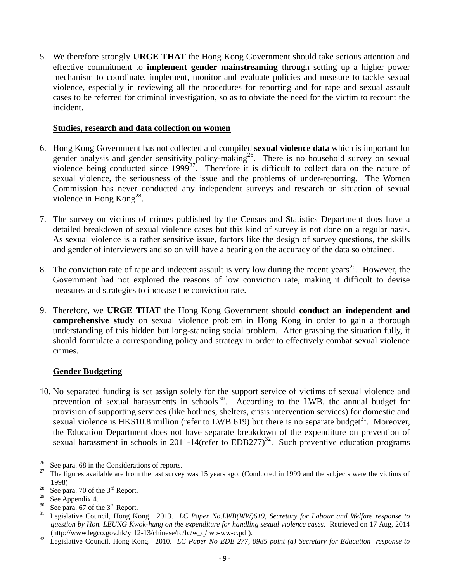5. We therefore strongly **URGE THAT** the Hong Kong Government should take serious attention and effective commitment to **implement gender mainstreaming** through setting up a higher power mechanism to coordinate, implement, monitor and evaluate policies and measure to tackle sexual violence, especially in reviewing all the procedures for reporting and for rape and sexual assault cases to be referred for criminal investigation, so as to obviate the need for the victim to recount the incident.

#### **Studies, research and data collection on women**

- 6. Hong Kong Government has not collected and compiled **sexual violence data** which is important for gender analysis and gender sensitivity policy-making<sup>26</sup>. There is no household survey on sexual violence being conducted since  $1999^{27}$ . Therefore it is difficult to collect data on the nature of sexual violence, the seriousness of the issue and the problems of under-reporting. The Women Commission has never conducted any independent surveys and research on situation of sexual violence in Hong  $Kong^{28}$ .
- 7. The survey on victims of crimes published by the Census and Statistics Department does have a detailed breakdown of sexual violence cases but this kind of survey is not done on a regular basis. As sexual violence is a rather sensitive issue, factors like the design of survey questions, the skills and gender of interviewers and so on will have a bearing on the accuracy of the data so obtained.
- 8. The conviction rate of rape and indecent assault is very low during the recent years<sup>29</sup>. However, the Government had not explored the reasons of low conviction rate, making it difficult to devise measures and strategies to increase the conviction rate.
- 9. Therefore, we **URGE THAT** the Hong Kong Government should **conduct an independent and comprehensive study** on sexual violence problem in Hong Kong in order to gain a thorough understanding of this hidden but long-standing social problem. After grasping the situation fully, it should formulate a corresponding policy and strategy in order to effectively combat sexual violence crimes.

#### **Gender Budgeting**

10. No separated funding is set assign solely for the support service of victims of sexual violence and prevention of sexual harassments in schools<sup>30</sup>. According to the LWB, the annual budget for provision of supporting services (like hotlines, shelters, crisis intervention services) for domestic and sexual violence is  $HK$10.8$  million (refer to LWB 619) but there is no separate budget<sup>31</sup>. Moreover, the Education Department does not have separate breakdown of the expenditure on prevention of sexual harassment in schools in 2011-14(refer to EDB277)<sup>32</sup>. Such preventive education programs

l <sup>26</sup> See para. 68 in the Considerations of reports.

<sup>27</sup> The figures available are from the last survey was 15 years ago. (Conducted in 1999 and the subjects were the victims of 1998)

<sup>&</sup>lt;sup>28</sup> See para. 70 of the  $3<sup>rd</sup>$  Report.

<sup>29</sup>  $\frac{29}{30}$  See Appendix 4.

<sup>&</sup>lt;sup>30</sup> See para. 67 of the 3<sup>rd</sup> Report.<br><sup>31</sup> Logislative Council Hong *V*.

<sup>31</sup> Legislative Council, Hong Kong. 2013. *LC Paper No.LWB(WW)619, Secretary for Labour and Welfare response to question by Hon. LEUNG Kwok-hung on the expenditure for handling sexual violence cases*. Retrieved on 17 Aug, 2014 (http://www.legco.gov.hk/yr12-13/chinese/fc/fc/w\_q/lwb-ww-c.pdf).

<sup>32</sup> Legislative Council, Hong Kong. 2010. *LC Paper No EDB 277, 0985 point (a) Secretary for Education response to*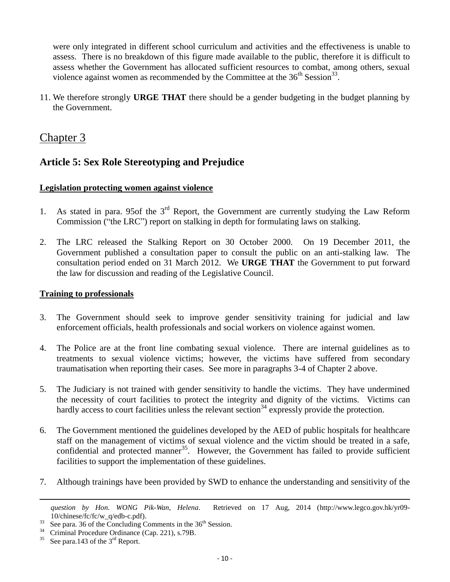were only integrated in different school curriculum and activities and the effectiveness is unable to assess. There is no breakdown of this figure made available to the public, therefore it is difficult to assess whether the Government has allocated sufficient resources to combat, among others, sexual violence against women as recommended by the Committee at the  $36<sup>th</sup> Session<sup>33</sup>$ .

11. We therefore strongly **URGE THAT** there should be a gender budgeting in the budget planning by the Government.

## Chapter 3

## **Article 5: Sex Role Stereotyping and Prejudice**

#### **Legislation protecting women against violence**

- 1. As stated in para. 95 of the  $3<sup>rd</sup>$  Report, the Government are currently studying the Law Reform Commission ("the LRC") report on stalking in depth for formulating laws on stalking.
- 2. The LRC released the Stalking Report on 30 October 2000. On 19 December 2011, the Government published a consultation paper to consult the public on an anti-stalking law. The consultation period ended on 31 March 2012. We **URGE THAT** the Government to put forward the law for discussion and reading of the Legislative Council.

#### **Training to professionals**

- 3. The Government should seek to improve gender sensitivity training for judicial and law enforcement officials, health professionals and social workers on violence against women.
- 4. The Police are at the front line combating sexual violence. There are internal guidelines as to treatments to sexual violence victims; however, the victims have suffered from secondary traumatisation when reporting their cases. See more in paragraphs 3-4 of Chapter 2 above.
- 5. The Judiciary is not trained with gender sensitivity to handle the victims. They have undermined the necessity of court facilities to protect the integrity and dignity of the victims. Victims can hardly access to court facilities unless the relevant section<sup>34</sup> expressly provide the protection.
- 6. The Government mentioned the guidelines developed by the AED of public hospitals for healthcare staff on the management of victims of sexual violence and the victim should be treated in a safe, confidential and protected manner<sup>35</sup>. However, the Government has failed to provide sufficient facilities to support the implementation of these guidelines.
- 7. Although trainings have been provided by SWD to enhance the understanding and sensitivity of the

 $\overline{\phantom{a}}$ 

*question by Hon. WONG Pik-Wan, Helena*. Retrieved on 17 Aug, 2014 (http://www.legco.gov.hk/yr09- 10/chinese/fc/fc/w\_q/edb-c.pdf).

<sup>&</sup>lt;sup>33</sup> See para. 36 of the Concluding Comments in the  $36<sup>th</sup>$  Session.<br><sup>34</sup> Criminal Brazadius Ordinance (Can 221) a 70D

<sup>&</sup>lt;sup>34</sup> Criminal Procedure Ordinance (Cap. 221), s.79B.

See para.143 of the  $3<sup>rd</sup>$  Report.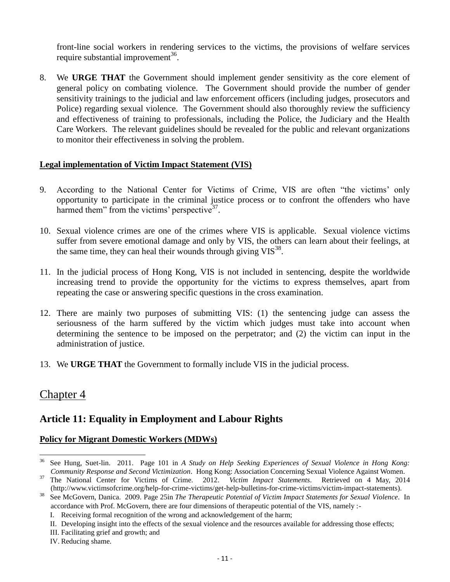front-line social workers in rendering services to the victims, the provisions of welfare services require substantial improvement<sup>36</sup>.

8. We **URGE THAT** the Government should implement gender sensitivity as the core element of general policy on combating violence. The Government should provide the number of gender sensitivity trainings to the judicial and law enforcement officers (including judges, prosecutors and Police) regarding sexual violence. The Government should also thoroughly review the sufficiency and effectiveness of training to professionals, including the Police, the Judiciary and the Health Care Workers. The relevant guidelines should be revealed for the public and relevant organizations to monitor their effectiveness in solving the problem.

#### **Legal implementation of Victim Impact Statement (VIS)**

- 9. According to the National Center for Victims of Crime, VIS are often "the victims' only opportunity to participate in the criminal justice process or to confront the offenders who have harmed them" from the victims' perspective<sup>37</sup>.
- 10. Sexual violence crimes are one of the crimes where VIS is applicable. Sexual violence victims suffer from severe emotional damage and only by VIS, the others can learn about their feelings, at the same time, they can heal their wounds through giving  $VIS^{38}$ .
- 11. In the judicial process of Hong Kong, VIS is not included in sentencing, despite the worldwide increasing trend to provide the opportunity for the victims to express themselves, apart from repeating the case or answering specific questions in the cross examination.
- 12. There are mainly two purposes of submitting VIS: (1) the sentencing judge can assess the seriousness of the harm suffered by the victim which judges must take into account when determining the sentence to be imposed on the perpetrator; and (2) the victim can input in the administration of justice.
- 13. We **URGE THAT** the Government to formally include VIS in the judicial process.

## Chapter 4

## **Article 11: Equality in Employment and Labour Rights**

#### **Policy for Migrant Domestic Workers (MDWs)**

 $36\,$ <sup>36</sup> See Hung, Suet-lin. 2011. Page 101 in *A Study on Help Seeking Experiences of Sexual Violence in Hong Kong: Community Response and Second Victimization*. Hong Kong: Association Concerning Sexual Violence Against Women.

<sup>&</sup>lt;sup>37</sup> The National Center for Victims of Crime. 2012. *Victim Impact Statements*. Retrieved on 4 May, 2014 (http://www.victimsofcrime.org/help-for-crime-victims/get-help-bulletins-for-crime-victims/victim-impact-statements).

<sup>38</sup> See McGovern, Danica. 2009. Page 25in *The Therapeutic Potential of Victim Impact Statements for Sexual Violence*. In accordance with Prof. McGovern, there are four dimensions of therapeutic potential of the VIS, namely :-

I. Receiving formal recognition of the wrong and acknowledgement of the harm;

II. Developing insight into the effects of the sexual violence and the resources available for addressing those effects;

III. Facilitating grief and growth; and

IV. Reducing shame.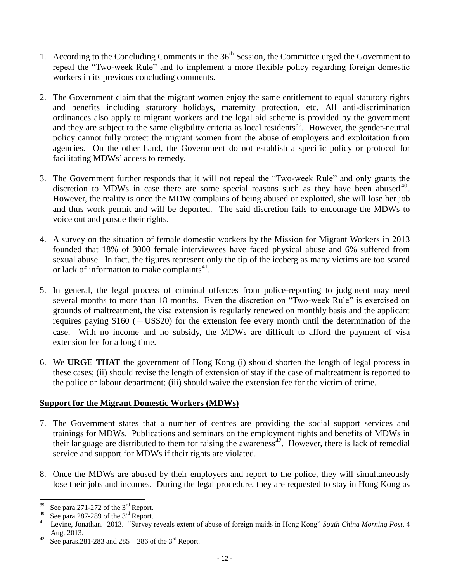- 1. According to the Concluding Comments in the  $36<sup>th</sup>$  Session, the Committee urged the Government to repeal the "Two-week Rule" and to implement a more flexible policy regarding foreign domestic workers in its previous concluding comments.
- 2. The Government claim that the migrant women enjoy the same entitlement to equal statutory rights and benefits including statutory holidays, maternity protection, etc. All anti-discrimination ordinances also apply to migrant workers and the legal aid scheme is provided by the government and they are subject to the same eligibility criteria as local residents<sup>39</sup>. However, the gender-neutral policy cannot fully protect the migrant women from the abuse of employers and exploitation from agencies. On the other hand, the Government do not establish a specific policy or protocol for facilitating MDWs' access to remedy.
- 3. The Government further responds that it will not repeal the "Two-week Rule" and only grants the discretion to MDWs in case there are some special reasons such as they have been abused  $40$ . However, the reality is once the MDW complains of being abused or exploited, she will lose her job and thus work permit and will be deported. The said discretion fails to encourage the MDWs to voice out and pursue their rights.
- 4. A survey on the situation of female domestic workers by the Mission for Migrant Workers in 2013 founded that 18% of 3000 female interviewees have faced physical abuse and 6% suffered from sexual abuse. In fact, the figures represent only the tip of the iceberg as many victims are too scared or lack of information to make complaints $41$ .
- 5. In general, the legal process of criminal offences from police-reporting to judgment may need several months to more than 18 months. Even the discretion on "Two-week Rule" is exercised on grounds of maltreatment, the visa extension is regularly renewed on monthly basis and the applicant requires paying \$160 ( $\approx$  US\$20) for the extension fee every month until the determination of the case. With no income and no subsidy, the MDWs are difficult to afford the payment of visa extension fee for a long time.
- 6. We **URGE THAT** the government of Hong Kong (i) should shorten the length of legal process in these cases; (ii) should revise the length of extension of stay if the case of maltreatment is reported to the police or labour department; (iii) should waive the extension fee for the victim of crime.

#### **Support for the Migrant Domestic Workers (MDWs)**

- 7. The Government states that a number of centres are providing the social support services and trainings for MDWs. Publications and seminars on the employment rights and benefits of MDWs in their language are distributed to them for raising the awareness<sup>42</sup>. However, there is lack of remedial service and support for MDWs if their rights are violated.
- 8. Once the MDWs are abused by their employers and report to the police, they will simultaneously lose their jobs and incomes. During the legal procedure, they are requested to stay in Hong Kong as

<sup>39</sup> See para.271-272 of the  $3<sup>rd</sup>$  Report.

<sup>&</sup>lt;sup>40</sup> See para.287-289 of the 3<sup>rd</sup> Report.

<sup>41</sup> Levine, Jonathan. 2013. "Survey reveals extent of abuse of foreign maids in Hong Kong" *South China Morning Post*, 4 Aug, 2013.

<sup>&</sup>lt;sup>42</sup> See paras.281-283 and  $285 - 286$  of the 3<sup>rd</sup> Report.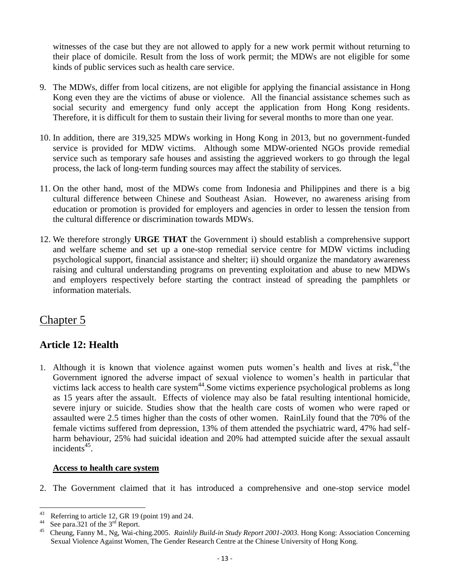witnesses of the case but they are not allowed to apply for a new work permit without returning to their place of domicile. Result from the loss of work permit; the MDWs are not eligible for some kinds of public services such as health care service.

- 9. The MDWs, differ from local citizens, are not eligible for applying the financial assistance in Hong Kong even they are the victims of abuse or violence. All the financial assistance schemes such as social security and emergency fund only accept the application from Hong Kong residents. Therefore, it is difficult for them to sustain their living for several months to more than one year.
- 10. In addition, there are 319,325 MDWs working in Hong Kong in 2013, but no government-funded service is provided for MDW victims. Although some MDW-oriented NGOs provide remedial service such as temporary safe houses and assisting the aggrieved workers to go through the legal process, the lack of long-term funding sources may affect the stability of services.
- 11. On the other hand, most of the MDWs come from Indonesia and Philippines and there is a big cultural difference between Chinese and Southeast Asian. However, no awareness arising from education or promotion is provided for employers and agencies in order to lessen the tension from the cultural difference or discrimination towards MDWs.
- 12. We therefore strongly **URGE THAT** the Government i) should establish a comprehensive support and welfare scheme and set up a one-stop remedial service centre for MDW victims including psychological support, financial assistance and shelter; ii) should organize the mandatory awareness raising and cultural understanding programs on preventing exploitation and abuse to new MDWs and employers respectively before starting the contract instead of spreading the pamphlets or information materials.

## Chapter 5

## **Article 12: Health**

1. Although it is known that violence against women puts women's health and lives at risk,  $43$ the Government ignored the adverse impact of sexual violence to women's health in particular that victims lack access to health care system<sup>44</sup>. Some victims experience psychological problems as long as 15 years after the assault. Effects of violence may also be fatal resulting intentional homicide, severe injury or suicide. Studies show that the health care costs of women who were raped or assaulted were 2.5 times higher than the costs of other women. RainLily found that the 70% of the female victims suffered from depression, 13% of them attended the psychiatric ward, 47% had selfharm behaviour, 25% had suicidal ideation and 20% had attempted suicide after the sexual assault  $incidents<sup>45</sup>$ .

#### **Access to health care system**

2. The Government claimed that it has introduced a comprehensive and one-stop service model

<sup>43</sup> <sup>43</sup> Referring to article 12, GR 19 (point 19) and 24.

<sup>&</sup>lt;sup>44</sup> See para.321 of the  $3<sup>rd</sup>$  Report.

<sup>45</sup> Cheung, Fanny M., Ng, Wai-ching.2005. *Rainlily Build-in Study Report 2001-2003*. Hong Kong: Association Concerning Sexual Violence Against Women, The Gender Research Centre at the Chinese University of Hong Kong.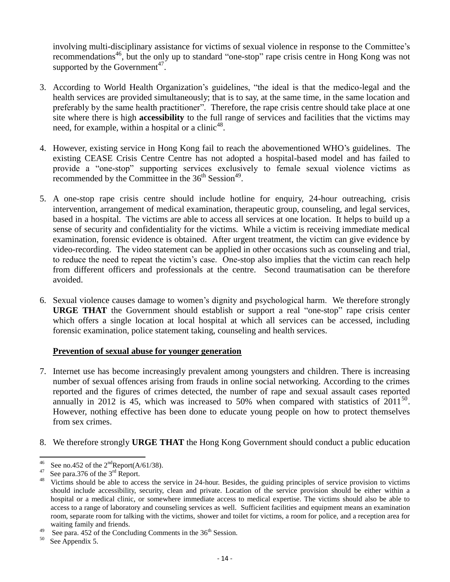involving multi-disciplinary assistance for victims of sexual violence in response to the Committee's recommendations<sup>46</sup>, but the only up to standard "one-stop" rape crisis centre in Hong Kong was not supported by the Government<sup>47</sup>.

- 3. According to World Health Organization's guidelines, "the ideal is that the medico-legal and the health services are provided simultaneously; that is to say, at the same time, in the same location and preferably by the same health practitioner". Therefore, the rape crisis centre should take place at one site where there is high **accessibility** to the full range of services and facilities that the victims may need, for example, within a hospital or a clinic<sup>48</sup>.
- 4. However, existing service in Hong Kong fail to reach the abovementioned WHO's guidelines. The existing CEASE Crisis Centre Centre has not adopted a hospital-based model and has failed to provide a "one-stop" supporting services exclusively to female sexual violence victims as recommended by the Committee in the  $36<sup>th</sup> Session<sup>49</sup>$ .
- 5. A one-stop rape crisis centre should include hotline for enquiry, 24-hour outreaching, crisis intervention, arrangement of medical examination, therapeutic group, counseling, and legal services, based in a hospital. The victims are able to access all services at one location. It helps to build up a sense of security and confidentiality for the victims. While a victim is receiving immediate medical examination, forensic evidence is obtained. After urgent treatment, the victim can give evidence by video-recording. The video statement can be applied in other occasions such as counseling and trial, to reduce the need to repeat the victim's case. One-stop also implies that the victim can reach help from different officers and professionals at the centre. Second traumatisation can be therefore avoided.
- 6. Sexual violence causes damage to women's dignity and psychological harm. We therefore strongly **URGE THAT** the Government should establish or support a real "one-stop" rape crisis center which offers a single location at local hospital at which all services can be accessed, including forensic examination, police statement taking, counseling and health services.

#### **Prevention of sexual abuse for younger generation**

- 7. Internet use has become increasingly prevalent among youngsters and children. There is increasing number of sexual offences arising from frauds in online social networking. According to the crimes reported and the figures of crimes detected, the number of rape and sexual assault cases reported annually in 2012 is 45, which was increased to 50% when compared with statistics of  $2011^{50}$ . However, nothing effective has been done to educate young people on how to protect themselves from sex crimes.
- 8. We therefore strongly **URGE THAT** the Hong Kong Government should conduct a public education

l <sup>46</sup> See no.452 of the  $2<sup>nd</sup>$ Report(A/61/38).

 $^{47}$  See para.376 of the 3<sup>rd</sup> Report.

Victims should be able to access the service in 24-hour. Besides, the guiding principles of service provision to victims should include accessibility, security, clean and private. Location of the service provision should be either within a hospital or a medical clinic, or somewhere immediate access to medical expertise. The victims should also be able to access to a range of laboratory and counseling services as well. Sufficient facilities and equipment means an examination room, separate room for talking with the victims, shower and toilet for victims, a room for police, and a reception area for waiting family and friends.

<sup>&</sup>lt;sup>49</sup> See para. 452 of the Concluding Comments in the  $36<sup>th</sup>$  Session.

See Appendix 5.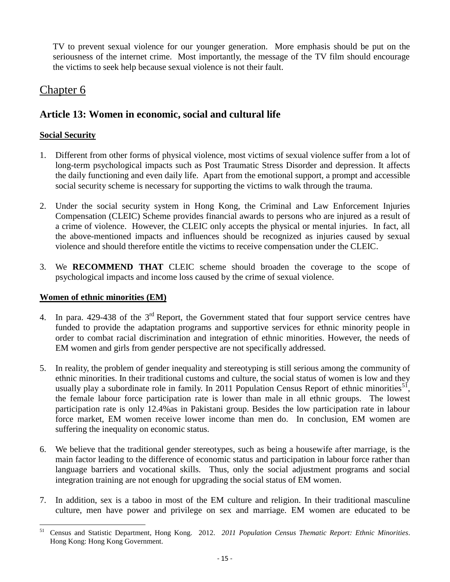TV to prevent sexual violence for our younger generation. More emphasis should be put on the seriousness of the internet crime. Most importantly, the message of the TV film should encourage the victims to seek help because sexual violence is not their fault.

## Chapter 6

## **Article 13: Women in economic, social and cultural life**

#### **Social Security**

- 1. Different from other forms of physical violence, most victims of sexual violence suffer from a lot of long-term psychological impacts such as Post Traumatic Stress Disorder and depression. It affects the daily functioning and even daily life. Apart from the emotional support, a prompt and accessible social security scheme is necessary for supporting the victims to walk through the trauma.
- 2. Under the social security system in Hong Kong, the Criminal and Law Enforcement Injuries Compensation (CLEIC) Scheme provides financial awards to persons who are injured as a result of a crime of violence. However, the CLEIC only accepts the physical or mental injuries. In fact, all the above-mentioned impacts and influences should be recognized as injuries caused by sexual violence and should therefore entitle the victims to receive compensation under the CLEIC.
- 3. We **RECOMMEND THAT** CLEIC scheme should broaden the coverage to the scope of psychological impacts and income loss caused by the crime of sexual violence.

#### **Women of ethnic minorities (EM)**

- 4. In para. 429-438 of the  $3<sup>rd</sup>$  Report, the Government stated that four support service centres have funded to provide the adaptation programs and supportive services for ethnic minority people in order to combat racial discrimination and integration of ethnic minorities. However, the needs of EM women and girls from gender perspective are not specifically addressed.
- 5. In reality, the problem of gender inequality and stereotyping is still serious among the community of ethnic minorities. In their traditional customs and culture, the social status of women is low and they usually play a subordinate role in family. In 2011 Population Census Report of ethnic minorities<sup>51</sup>, the female labour force participation rate is lower than male in all ethnic groups. The lowest participation rate is only 12.4%as in Pakistani group. Besides the low participation rate in labour force market, EM women receive lower income than men do. In conclusion, EM women are suffering the inequality on economic status.
- 6. We believe that the traditional gender stereotypes, such as being a housewife after marriage, is the main factor leading to the difference of economic status and participation in labour force rather than language barriers and vocational skills. Thus, only the social adjustment programs and social integration training are not enough for upgrading the social status of EM women.
- 7. In addition, sex is a taboo in most of the EM culture and religion. In their traditional masculine culture, men have power and privilege on sex and marriage. EM women are educated to be

<sup>51</sup> <sup>51</sup> Census and Statistic Department, Hong Kong. 2012. *2011 Population Census Thematic Report: Ethnic Minorities*. Hong Kong: Hong Kong Government.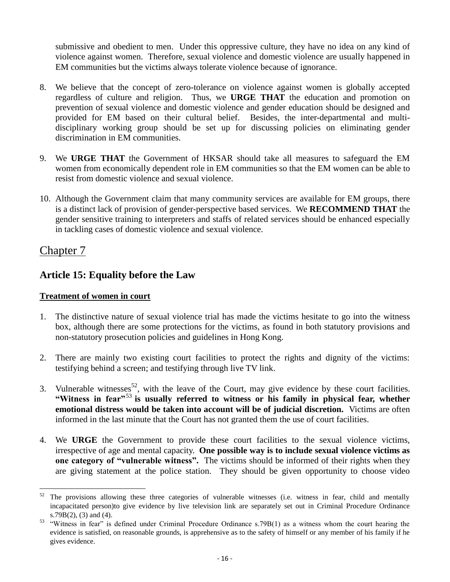submissive and obedient to men. Under this oppressive culture, they have no idea on any kind of violence against women. Therefore, sexual violence and domestic violence are usually happened in EM communities but the victims always tolerate violence because of ignorance.

- 8. We believe that the concept of zero-tolerance on violence against women is globally accepted regardless of culture and religion. Thus, we **URGE THAT** the education and promotion on prevention of sexual violence and domestic violence and gender education should be designed and provided for EM based on their cultural belief. Besides, the inter-departmental and multidisciplinary working group should be set up for discussing policies on eliminating gender discrimination in EM communities.
- 9. We **URGE THAT** the Government of HKSAR should take all measures to safeguard the EM women from economically dependent role in EM communities so that the EM women can be able to resist from domestic violence and sexual violence.
- 10. Although the Government claim that many community services are available for EM groups, there is a distinct lack of provision of gender-perspective based services. We **RECOMMEND THAT** the gender sensitive training to interpreters and staffs of related services should be enhanced especially in tackling cases of domestic violence and sexual violence.

## Chapter 7

 $\overline{\phantom{a}}$ 

## **Article 15: Equality before the Law**

#### **Treatment of women in court**

- 1. The distinctive nature of sexual violence trial has made the victims hesitate to go into the witness box, although there are some protections for the victims, as found in both statutory provisions and non-statutory prosecution policies and guidelines in Hong Kong.
- 2. There are mainly two existing court facilities to protect the rights and dignity of the victims: testifying behind a screen; and testifying through live TV link.
- 3. Vulnerable witnesses<sup>52</sup>, with the leave of the Court, may give evidence by these court facilities. **"Witness in fear"**<sup>53</sup> **is usually referred to witness or his family in physical fear, whether emotional distress would be taken into account will be of judicial discretion.** Victims are often informed in the last minute that the Court has not granted them the use of court facilities.
- 4. We **URGE** the Government to provide these court facilities to the sexual violence victims, irrespective of age and mental capacity. **One possible way is to include sexual violence victims as one category of "vulnerable witness".** The victims should be informed of their rights when they are giving statement at the police station. They should be given opportunity to choose video

<sup>&</sup>lt;sup>52</sup> The provisions allowing these three categories of vulnerable witnesses (i.e. witness in fear, child and mentally incapacitated person)to give evidence by live television link are separately set out in Criminal Procedure Ordinance s.79B(2), (3) and (4).

<sup>&</sup>lt;sup>53</sup> "Witness in fear" is defined under Criminal Procedure Ordinance s.79B(1) as a witness whom the court hearing the evidence is satisfied, on reasonable grounds, is apprehensive as to the safety of himself or any member of his family if he gives evidence.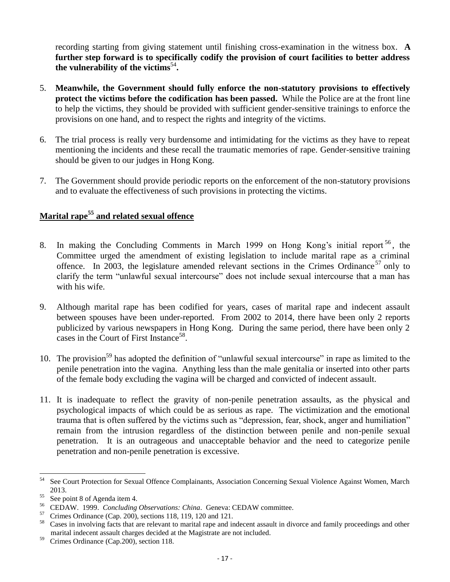recording starting from giving statement until finishing cross-examination in the witness box. **A further step forward is to specifically codify the provision of court facilities to better address the vulnerability of the victims**<sup>54</sup> **.**

- 5. **Meanwhile, the Government should fully enforce the non-statutory provisions to effectively protect the victims before the codification has been passed.** While the Police are at the front line to help the victims, they should be provided with sufficient gender-sensitive trainings to enforce the provisions on one hand, and to respect the rights and integrity of the victims.
- 6. The trial process is really very burdensome and intimidating for the victims as they have to repeat mentioning the incidents and these recall the traumatic memories of rape. Gender-sensitive training should be given to our judges in Hong Kong.
- 7. The Government should provide periodic reports on the enforcement of the non-statutory provisions and to evaluate the effectiveness of such provisions in protecting the victims.

## **Marital rape<sup>55</sup> and related sexual offence**

- 8. In making the Concluding Comments in March 1999 on Hong Kong's initial report <sup>56</sup>, the Committee urged the amendment of existing legislation to include marital rape as a criminal offence. In 2003, the legislature amended relevant sections in the Crimes Ordinance<sup>57</sup> only to clarify the term "unlawful sexual intercourse" does not include sexual intercourse that a man has with his wife.
- 9. Although marital rape has been codified for years, cases of marital rape and indecent assault between spouses have been under-reported. From 2002 to 2014, there have been only 2 reports publicized by various newspapers in Hong Kong. During the same period, there have been only 2 cases in the Court of First Instance<sup>58</sup>.
- 10. The provision<sup>59</sup> has adopted the definition of "unlawful sexual intercourse" in rape as limited to the penile penetration into the vagina. Anything less than the male genitalia or inserted into other parts of the female body excluding the vagina will be charged and convicted of indecent assault.
- 11. It is inadequate to reflect the gravity of non-penile penetration assaults, as the physical and psychological impacts of which could be as serious as rape. The victimization and the emotional trauma that is often suffered by the victims such as "depression, fear, shock, anger and humiliation" remain from the intrusion regardless of the distinction between penile and non-penile sexual penetration. It is an outrageous and unacceptable behavior and the need to categorize penile penetration and non-penile penetration is excessive.

<sup>54</sup> <sup>54</sup> See Court Protection for Sexual Offence Complainants, Association Concerning Sexual Violence Against Women, March 2013.

<sup>55</sup> See point 8 of Agenda item 4.

<sup>56</sup> CEDAW. 1999. *Concluding Observations: China*. Geneva: CEDAW committee.

 $57$  Crimes Ordinance (Cap. 200), sections 118, 119, 120 and 121.

<sup>58</sup> Cases in involving facts that are relevant to marital rape and indecent assault in divorce and family proceedings and other marital indecent assault charges decided at the Magistrate are not included.

<sup>&</sup>lt;sup>59</sup> Crimes Ordinance (Cap.200), section 118.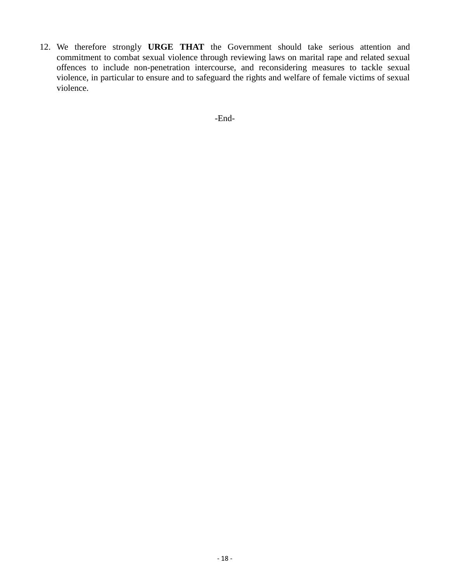12. We therefore strongly **URGE THAT** the Government should take serious attention and commitment to combat sexual violence through reviewing laws on marital rape and related sexual offences to include non-penetration intercourse, and reconsidering measures to tackle sexual violence, in particular to ensure and to safeguard the rights and welfare of female victims of sexual violence.

-End-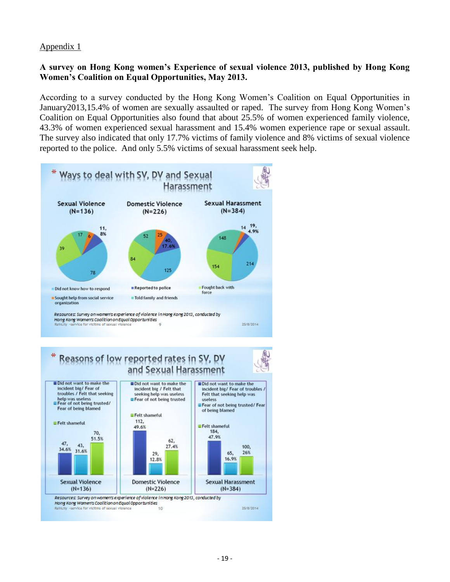#### **A survey on Hong Kong women's Experience of sexual violence 2013, published by Hong Kong Women's Coalition on Equal Opportunities, May 2013.**

According to a survey conducted by the Hong Kong Women's Coalition on Equal Opportunities in January2013,15.4% of women are sexually assaulted or raped. The survey from Hong Kong Women's Coalition on Equal Opportunities also found that about 25.5% of women experienced family violence, 43.3% of women experienced sexual harassment and 15.4% women experience rape or sexual assault. The survey also indicated that only 17.7% victims of family violence and 8% victims of sexual violence reported to the police. And only 5.5% victims of sexual harassment seek help.



## Reasons of low reported rates in SV, DV and Sexual Harassment

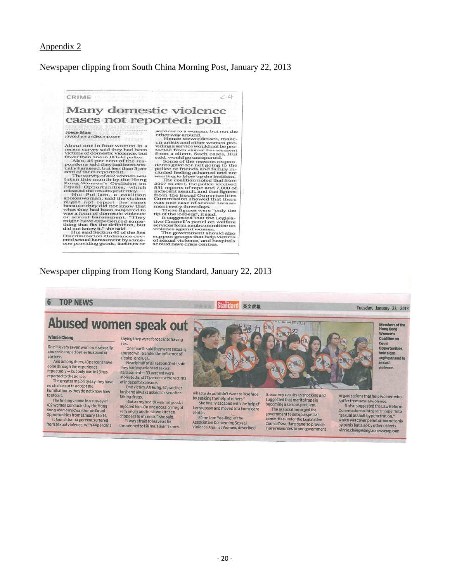#### Newspaper clipping from South China Morning Post, January 22, 2013

## Many domestic violence cases not reported: poll

Joyce Man<br>joyce.hyman@scmp.com

CRIME

joyce.hyman@scmp.com<br>
About one in four women in a<br>
recent survey said they had been the recent stream of domestic violence, but<br>
fewer than one in 10 told police.<br>
Also, 49 per cent of the respondents and they had been d

 $\dot{c}$ 4

**OTTLE CA:** DOIL<br>
services to a woman, but not the other way around.<br>
Hence stewardesses, make-<br>
up artists and other women pro-<br>
reflected from sexual harassment<br>
uding a service would not be pro-<br>
tected from sexual hara

#### Newspaper clipping from Hong Kong Standard, January 22, 2013

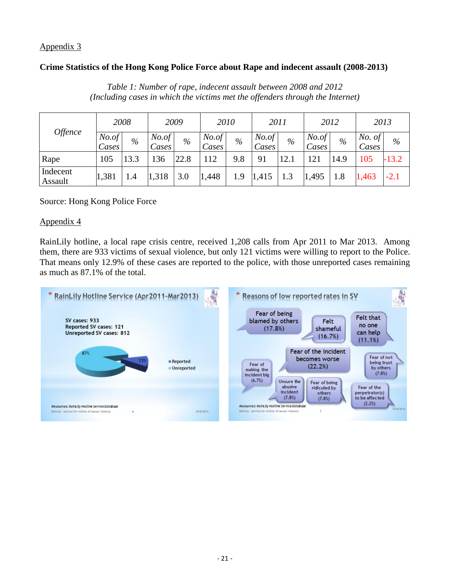#### **Crime Statistics of the Hong Kong Police Force about Rape and indecent assault (2008-2013)**

|                     |                                          | 2008 |                 | 2009 |                 | 2010 | 2011            |      | 2012            |      | 2013                   |         |
|---------------------|------------------------------------------|------|-----------------|------|-----------------|------|-----------------|------|-----------------|------|------------------------|---------|
|                     | <i><b>Offence</b></i><br>No. of<br>Cases | %    | No. of<br>Cases | $\%$ | No. of<br>Cases | $\%$ | No. of<br>Cases | $\%$ | No. of<br>Cases | %    | <i>No.</i> of<br>Cases | $\%$    |
| Rape                | 105                                      | 13.3 | 36              | 22.8 | 112             | 9.8  | 91              | 12.1 | 121             | 14.9 | 105                    | $-13.2$ |
| Indecent<br>Assault | 1,381                                    | 1.4  | 1,318           | 3.0  | 1,448           | 1.9  | 1,415           | 1.3  | 1,495           | 1.8  | 1,463                  | $-2.1$  |

*Table 1: Number of rape, indecent assault between 2008 and 2012 (Including cases in which the victims met the offenders through the Internet)*

#### Source: Hong Kong Police Force

#### Appendix 4

RainLily hotline, a local rape crisis centre, received 1,208 calls from Apr 2011 to Mar 2013. Among them, there are 933 victims of sexual violence, but only 121 victims were willing to report to the Police. That means only 12.9% of these cases are reported to the police, with those unreported cases remaining as much as 87.1% of the total.